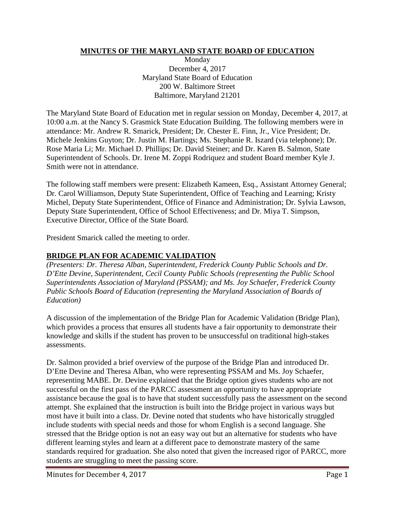## **MINUTES OF THE MARYLAND STATE BOARD OF EDUCATION**

Monday December 4, 2017 Maryland State Board of Education 200 W. Baltimore Street Baltimore, Maryland 21201

The Maryland State Board of Education met in regular session on Monday, December 4, 2017, at 10:00 a.m. at the Nancy S. Grasmick State Education Building. The following members were in attendance: Mr. Andrew R. Smarick, President; Dr. Chester E. Finn, Jr., Vice President; Dr. Michele Jenkins Guyton; Dr. Justin M. Hartings; Ms. Stephanie R. Iszard (via telephone); Dr. Rose Maria Li; Mr. Michael D. Phillips; Dr. David Steiner; and Dr. Karen B. Salmon, State Superintendent of Schools. Dr. Irene M. Zoppi Rodriquez and student Board member Kyle J. Smith were not in attendance.

The following staff members were present: Elizabeth Kameen, Esq., Assistant Attorney General; Dr. Carol Williamson, Deputy State Superintendent, Office of Teaching and Learning; Kristy Michel, Deputy State Superintendent, Office of Finance and Administration; Dr. Sylvia Lawson, Deputy State Superintendent, Office of School Effectiveness; and Dr. Miya T. Simpson, Executive Director, Office of the State Board.

President Smarick called the meeting to order.

## **BRIDGE PLAN FOR ACADEMIC VALIDATION**

*(Presenters: Dr. Theresa Alban, Superintendent, Frederick County Public Schools and Dr. D'Ette Devine, Superintendent, Cecil County Public Schools (representing the Public School Superintendents Association of Maryland (PSSAM); and Ms. Joy Schaefer, Frederick County Public Schools Board of Education (representing the Maryland Association of Boards of Education)*

A discussion of the implementation of the Bridge Plan for Academic Validation (Bridge Plan), which provides a process that ensures all students have a fair opportunity to demonstrate their knowledge and skills if the student has proven to be unsuccessful on traditional high-stakes assessments.

Dr. Salmon provided a brief overview of the purpose of the Bridge Plan and introduced Dr. D'Ette Devine and Theresa Alban, who were representing PSSAM and Ms. Joy Schaefer, representing MABE. Dr. Devine explained that the Bridge option gives students who are not successful on the first pass of the PARCC assessment an opportunity to have appropriate assistance because the goal is to have that student successfully pass the assessment on the second attempt. She explained that the instruction is built into the Bridge project in various ways but most have it built into a class. Dr. Devine noted that students who have historically struggled include students with special needs and those for whom English is a second language. She stressed that the Bridge option is not an easy way out but an alternative for students who have different learning styles and learn at a different pace to demonstrate mastery of the same standards required for graduation. She also noted that given the increased rigor of PARCC, more students are struggling to meet the passing score.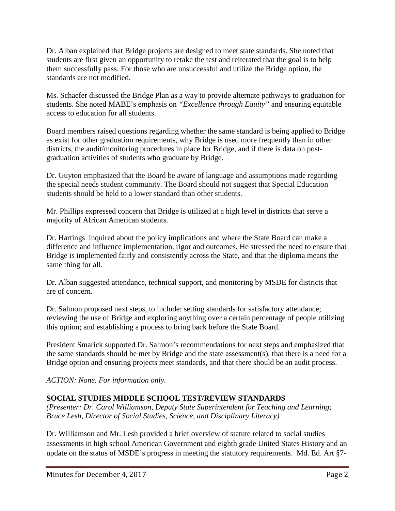Dr. Alban explained that Bridge projects are designed to meet state standards. She noted that students are first given an opportunity to retake the test and reiterated that the goal is to help them successfully pass. For those who are unsuccessful and utilize the Bridge option, the standards are not modified.

Ms. Schaefer discussed the Bridge Plan as a way to provide alternate pathways to graduation for students. She noted MABE's emphasis on *"Excellence through Equity"* and ensuring equitable access to education for all students.

Board members raised questions regarding whether the same standard is being applied to Bridge as exist for other graduation requirements, why Bridge is used more frequently than in other districts, the audit/monitoring procedures in place for Bridge, and if there is data on postgraduation activities of students who graduate by Bridge.

Dr. Guyton emphasized that the Board be aware of language and assumptions made regarding the special needs student community. The Board should not suggest that Special Education students should be held to a lower standard than other students.

Mr. Phillips expressed concern that Bridge is utilized at a high level in districts that serve a majority of African American students.

Dr. Hartings inquired about the policy implications and where the State Board can make a difference and influence implementation, rigor and outcomes. He stressed the need to ensure that Bridge is implemented fairly and consistently across the State, and that the diploma means the same thing for all.

Dr. Alban suggested attendance, technical support, and monitoring by MSDE for districts that are of concern.

Dr. Salmon proposed next steps, to include: setting standards for satisfactory attendance; reviewing the use of Bridge and exploring anything over a certain percentage of people utilizing this option; and establishing a process to bring back before the State Board.

President Smarick supported Dr. Salmon's recommendations for next steps and emphasized that the same standards should be met by Bridge and the state assessment(s), that there is a need for a Bridge option and ensuring projects meet standards, and that there should be an audit process.

*ACTION: None. For information only.*

## **SOCIAL STUDIES MIDDLE SCHOOL TEST/REVIEW STANDARDS**

*(Presenter: Dr. Carol Williamson, Deputy State Superintendent for Teaching and Learning; Bruce Lesh, Director of Social Studies, Science, and Disciplinary Literacy)*

Dr. Williamson and Mr. Lesh provided a brief overview of statute related to social studies assessments in high school American Government and eighth grade United States History and an update on the status of MSDE's progress in meeting the statutory requirements. Md. Ed. Art §7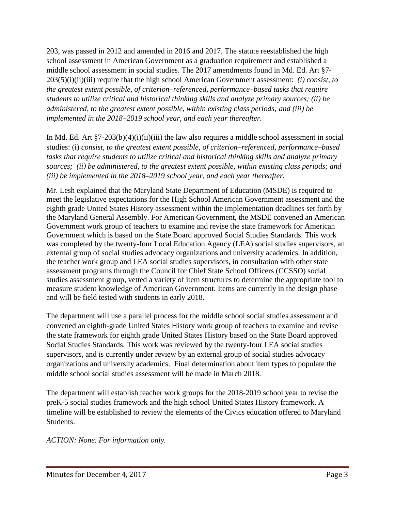203, was passed in 2012 and amended in 2016 and 2017. The statute reestablished the high school assessment in American Government as a graduation requirement and established a middle school assessment in social studies. The 2017 amendments found in Md. Ed. Art §7- 203(5)(i)(ii)(iii) require that the high school American Government assessment: *(i) consist, to the greatest extent possible, of criterion–referenced, performance–based tasks that require students to utilize critical and historical thinking skills and analyze primary sources; (ii) be administered, to the greatest extent possible, within existing class periods; and (iii) be implemented in the 2018–2019 school year, and each year thereafter.*

In Md. Ed. Art  $\S7-203(b)(4)(i)(ii)(iii)$  the law also requires a middle school assessment in social studies: (i) *consist, to the greatest extent possible, of criterion–referenced, performance–based tasks that require students to utilize critical and historical thinking skills and analyze primary sources; (ii) be administered, to the greatest extent possible, within existing class periods; and (iii) be implemented in the 2018–2019 school year, and each year thereafter.*

Mr. Lesh explained that the Maryland State Department of Education (MSDE) is required to meet the legislative expectations for the High School American Government assessment and the eighth grade United States History assessment within the implementation deadlines set forth by the Maryland General Assembly. For American Government, the MSDE convened an American Government work group of teachers to examine and revise the state framework for American Government which is based on the State Board approved Social Studies Standards. This work was completed by the twenty-four Local Education Agency (LEA) social studies supervisors, an external group of social studies advocacy organizations and university academics. In addition, the teacher work group and LEA social studies supervisors, in consultation with other state assessment programs through the Council for Chief State School Officers (CCSSO) social studies assessment group, vetted a variety of item structures to determine the appropriate tool to measure student knowledge of American Government. Items are currently in the design phase and will be field tested with students in early 2018.

The department will use a parallel process for the middle school social studies assessment and convened an eighth-grade United States History work group of teachers to examine and revise the state framework for eighth grade United States History based on the State Board approved Social Studies Standards. This work was reviewed by the twenty-four LEA social studies supervisors, and is currently under review by an external group of social studies advocacy organizations and university academics. Final determination about item types to populate the middle school social studies assessment will be made in March 2018.

The department will establish teacher work groups for the 2018-2019 school year to revise the preK-5 social studies framework and the high school United States History framework. A timeline will be established to review the elements of the Civics education offered to Maryland Students.

*ACTION: None. For information only.*